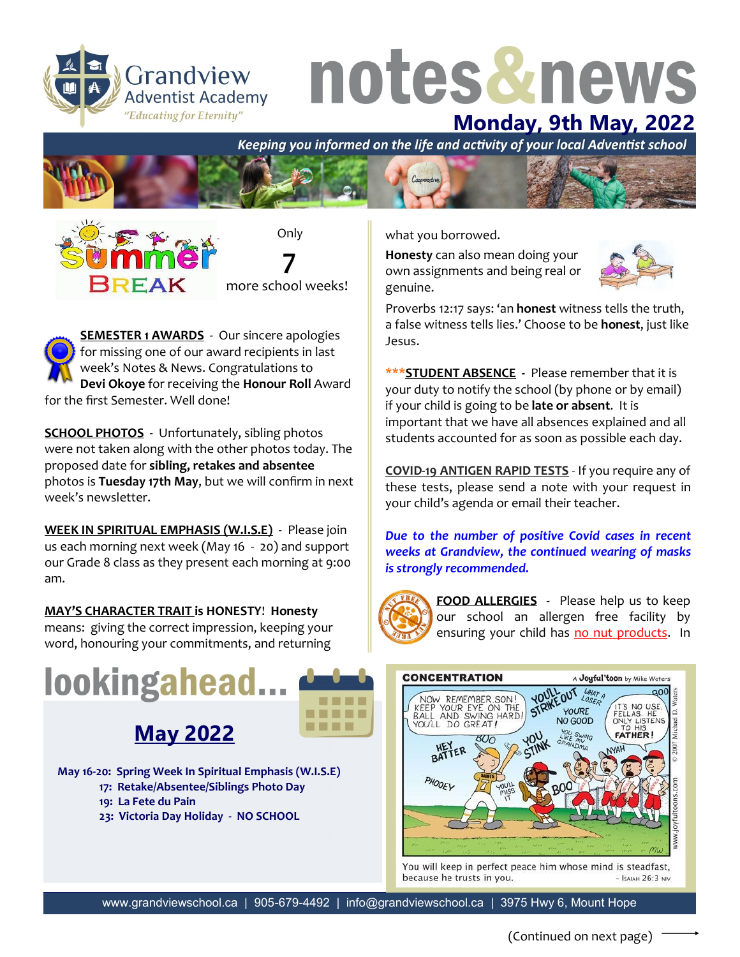Grandview **Adventist Academy** "Educating for Eternity"

## notes&news

**Monday, 9th May, 2022**<br>Keeping you informed on the life and activity of your local Adventist school





**SEMESTER 1 AWARDS** - Our sincere apologies for missing one of our award recipients in last week's Notes & News. Congratulations to **Devi Okoye** for receiving the **Honour Roll** Award for the first Semester. Well done!

**SCHOOL PHOTOS** - Unfortunately, sibling photos were not taken along with the other photos today. The proposed date for **sibling, retakes and absentee**  photos is **Tuesday 17th May**, but we will confirm in next week's newsletter.

**WEEK IN SPIRITUAL EMPHASIS (W.I.S.E)** - Please join us each morning next week (May 16 - 20) and support our Grade 8 class as they present each morning at 9:00 am.

**MAY'S CHARACTER TRAIT is HONESTY**! **Honesty** means: giving the correct impression, keeping your word, honouring your commitments, and returning

## lookingahead...



**May 16-20: Spring Week In Spiritual Emphasis (W.I.S.E)**

- **17: Retake/Absentee/Siblings Photo Day**
- **19: La Fete du Pain**
- **23: Victoria Day Holiday - NO SCHOOL**

what you borrowed.

**Honesty** can also mean doing your own assignments and being real or genuine.



Proverbs 12:17 says: 'an **honest** witness tells the truth, a false witness tells lies.' Choose to be **honest**, just like Jesus.

**\*\*\*STUDENT ABSENCE -** Please remember that it is your duty to notify the school (by phone or by email) if your child is going to be **late or absent**. It is important that we have all absences explained and all students accounted for as soon as possible each day.

**COVID-19 ANTIGEN RAPID TESTS** - If you require any of these tests, please send a note with your request in your child's agenda or email their teacher.

*Due to the number of positive Covid cases in recent weeks at Grandview, the continued wearing of masks is strongly recommended.*



**FOOD ALLERGIES -** Please help us to keep our school an allergen free facility by ensuring your child has no nut products. In



You will keep in perfect peace him whose mind is steadfast, because he trusts in you.  $-$  Isaiah 26:3 NIV

www.grandviewschool.ca | 905-679-4492 | info@grandviewschool.ca | 3975 Hwy 6, Mount Hope